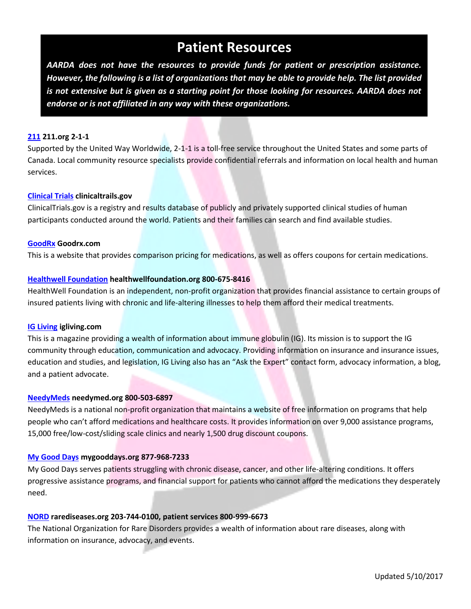# **Patient Resources**

*AARDA does not have the resources to provide funds for patient or prescription assistance. However, the following is a list of organizations that may be able to provide help. The list provided is not extensive but is given as a starting point for those looking for resources. AARDA does not endorse or is not affiliated in any way with these organizations.*

#### **[211](http://www.211.org/) 211.org 2-1-1**

Supported by the United Way Worldwide, 2-1-1 is a toll-free service throughout the United States and some parts of Canada. Local community resource specialists provide confidential referrals and information on local health and human services.

#### **[Clinical Trials](https://clinicaltrials.gov/) clinicaltrails.gov**

ClinicalTrials.gov is a registry and results database of publicly and privately supported clinical studies of human participants conducted around the world. Patients and their families can search and find available studies.

#### **[GoodRx](https://www.goodrx.com/mobile) Goodrx.com**

This is a website that provides comparison pricing for medications, as well as offers coupons for certain medications.

#### **[Healthwell Foundation](https://www.healthwellfoundation.org/) healthwellfoundation.org 800-675-8416**

HealthWell Foundation is an independent, non-profit organization that provides financial assistance to certain groups of insured patients living with chronic and life-altering illnesses to help them afford their medical treatments.

#### **[IG Living](http://www.igliving.com/) igliving.com**

This is a magazine providing a wealth of information about immune globulin (IG). Its mission is to support the IG community through education, communication and advocacy. Providing information on insurance and insurance issues, education and studies, and legislation, IG Living also has an "Ask the Expert" contact form, advocacy information, a blog, and a patient advocate.

#### **[NeedyMeds](http://www.needymeds.org/) needymed.org 800-503-6897**

NeedyMeds is a national non-profit organization that maintains a website of free information on programs that help people who can't afford medications and healthcare costs. It provides information on over 9,000 assistance programs, 15,000 free/low-cost/sliding scale clinics and nearly 1,500 drug discount coupons.

#### **[My Good Days](https://www.mygooddays.org/) mygooddays.org 877-968-7233**

My Good Days serves patients struggling with chronic disease, cancer, and other life-altering conditions. It offers progressive assistance programs, and financial support for patients who cannot afford the medications they desperately need.

#### **[NORD](https://rarediseases.org/) rarediseases.org 203-744-0100, patient services 800-999-6673**

The National Organization for Rare Disorders provides a wealth of information about rare diseases, along with information on insurance, advocacy, and events.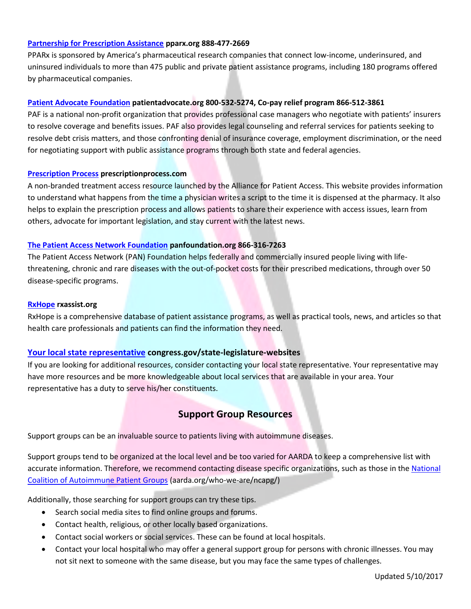#### **[Partnership for Prescription Assistance](https://www.pparx.org/) pparx.org 888-477-2669**

PPARx is sponsored by America's pharmaceutical research companies that connect low-income, underinsured, and uninsured individuals to more than 475 public and private patient assistance programs, including 180 programs offered by pharmaceutical companies.

#### **[Patient Advocate Foundation](http://www.patientadvocate.org/) patientadvocate.org 800-532-5274, Co-pay relief program 866-512-3861**

PAF is a national non-profit organization that provides professional case managers who negotiate with patients' insurers to resolve coverage and benefits issues. PAF also provides legal counseling and referral services for patients seeking to resolve debt crisis matters, and those confronting denial of insurance coverage, employment discrimination, or the need for negotiating support with public assistance programs through both state and federal agencies.

#### **[Prescription Process](https://prescriptionprocess.com/) prescriptionprocess.com**

A non-branded treatment access resource launched by the Alliance for Patient Access. This website provides information to understand what happens from the time a physician writes a script to the time it is dispensed at the pharmacy. It also helps to explain the prescription process and allows patients to share their experience with access issues, learn from others, advocate for important legislation, and stay current with the latest news.

#### **[The Patient Access Network Foundation](https://www.panfoundation.org/index.php/en/) panfoundation.org 866-316-7263**

The Patient Access Network (PAN) Foundation helps federally and commercially insured people living with lifethreatening, chronic and rare diseases with the out-of-pocket costs for their prescribed medications, through over 50 disease-specific programs.

#### **[RxHope](http://www.rxassist.org/) rxassist.org**

RxHope is a comprehensive database of patient assistance programs, as well as practical tools, news, and articles so that health care professionals and patients can find the information they need.

#### **[Your local state representative](https://www.congress.gov/state-legislature-websites) congress.gov/state-legislature-websites**

If you are looking for additional resources, consider contacting your local state representative. Your representative may have more resources and be more knowledgeable about local services that are available in your area. Your representative has a duty to serve his/her constituents.

### **Support Group Resources**

Support groups can be an invaluable source to patients living with autoimmune diseases.

Support groups tend to be organized at the local level and be too varied for AARDA to keep a comprehensive list with accurate information. Therefore, we recommend contacting disease specific organizations, such as those in the National [Coalition of Autoimmune Patient Groups](https://www.aarda.org/about-aarda/autoimmune-coalition/) (aarda.org/who-we-are/ncapg/)

Additionally, those searching for support groups can try these tips.

- Search social media sites to find online groups and forums.
- Contact health, religious, or other locally based organizations.
- Contact social workers or social services. These can be found at local hospitals.
- Contact your local hospital who may offer a general support group for persons with chronic illnesses. You may not sit next to someone with the same disease, but you may face the same types of challenges.